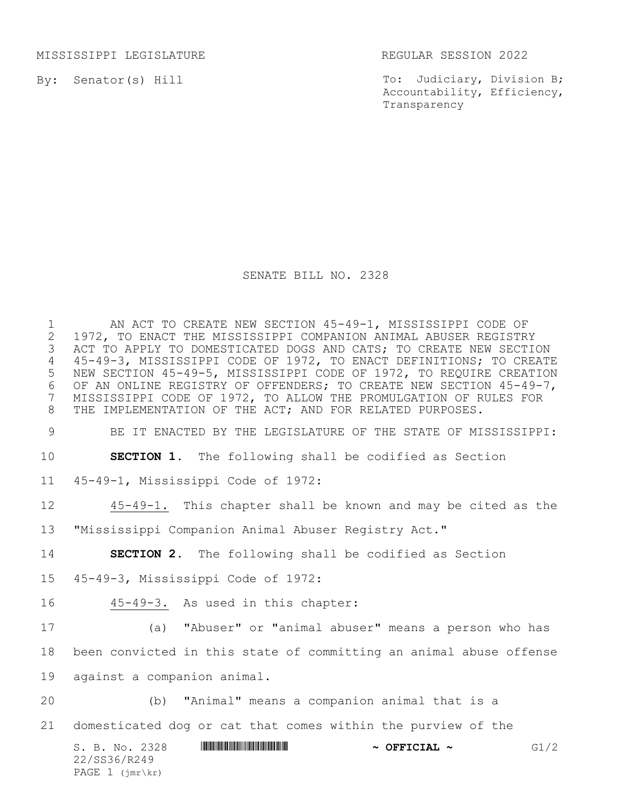MISSISSIPPI LEGISLATURE REGULAR SESSION 2022

By: Senator(s) Hill

To: Judiciary, Division B; Accountability, Efficiency, Transparency

## SENATE BILL NO. 2328

1 AN ACT TO CREATE NEW SECTION 45-49-1, MISSISSIPPI CODE OF<br>2 1972, TO ENACT THE MISSISSIPPI COMPANION ANIMAL ABUSER REGISTRY 2 1972, TO ENACT THE MISSISSIPPI COMPANION ANIMAL ABUSER REGISTRY<br>3 ACT TO APPLY TO DOMESTICATED DOGS AND CATS; TO CREATE NEW SECTI ACT TO APPLY TO DOMESTICATED DOGS AND CATS; TO CREATE NEW SECTION 4 45-49-3, MISSISSIPPI CODE OF 1972, TO ENACT DEFINITIONS; TO CREATE 5 NEW SECTION 45-49-5, MISSISSIPPI CODE OF 1972, TO REQUIRE CREATION 6 OF AN ONLINE REGISTRY OF OFFENDERS; TO CREATE NEW SECTION 45-49-7,<br>7 MISSISSIPPI CODE OF 1972, TO ALLOW THE PROMULGATION OF RULES FOR 7 MISSISSIPPI CODE OF 1972, TO ALLOW THE PROMULGATION OF RULES FOR 8 THE IMPLEMENTATION OF THE ACT; AND FOR RELATED PURPOSES.

9 BE IT ENACTED BY THE LEGISLATURE OF THE STATE OF MISSISSIPPI:

10 **SECTION 1.** The following shall be codified as Section

11 45-49-1, Mississippi Code of 1972:

12 45-49-1. This chapter shall be known and may be cited as the

13 "Mississippi Companion Animal Abuser Registry Act."

14 **SECTION 2.** The following shall be codified as Section

15 45-49-3, Mississippi Code of 1972:

16 45-49-3. As used in this chapter:

17 (a) "Abuser" or "animal abuser" means a person who has 18 been convicted in this state of committing an animal abuse offense 19 against a companion animal.

20 (b) "Animal" means a companion animal that is a

21 domesticated dog or cat that comes within the purview of the

S. B. No. 2328 **ASSEMBER 19 ASSEMBER 19 ASSEMBER 20 ASSEMBER 20 ASSEMBER 40 ASSEMBER 40 ASSEMBER 40 ASSEMBER 40 ASSEMBER 40 ASSEMBER 40 ASSEMBER 40 ASSEMBER 40 ASSEMBER 40 ASSEMBER 40 ASSEMBER 40 ASSEMBER 40 ASSEMBER 40 A** 22/SS36/R249 PAGE 1 (jmr\kr)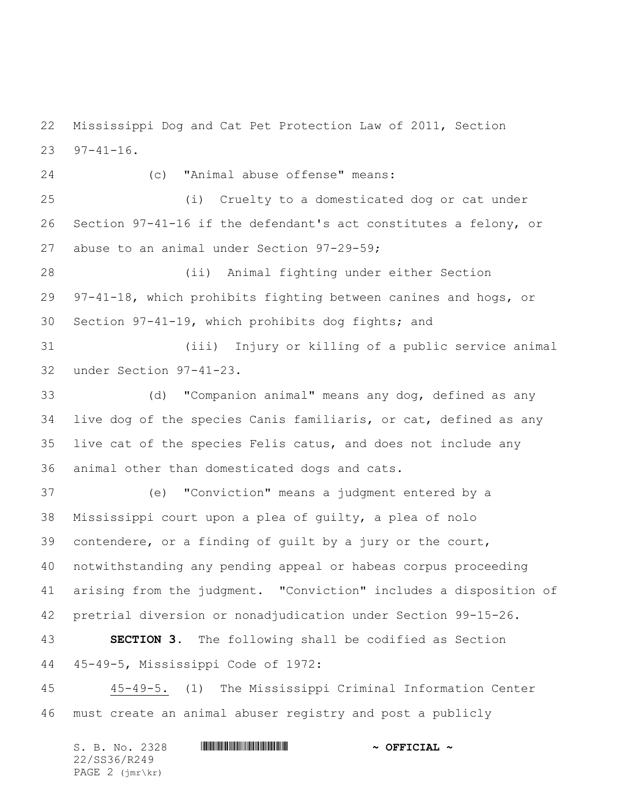Mississippi Dog and Cat Pet Protection Law of 2011, Section 97-41-16.

 (c) "Animal abuse offense" means: (i) Cruelty to a domesticated dog or cat under Section 97-41-16 if the defendant's act constitutes a felony, or abuse to an animal under Section 97-29-59; (ii) Animal fighting under either Section 97-41-18, which prohibits fighting between canines and hogs, or Section 97-41-19, which prohibits dog fights; and (iii) Injury or killing of a public service animal under Section 97-41-23. (d) "Companion animal" means any dog, defined as any live dog of the species Canis familiaris, or cat, defined as any live cat of the species Felis catus, and does not include any animal other than domesticated dogs and cats. (e) "Conviction" means a judgment entered by a Mississippi court upon a plea of guilty, a plea of nolo contendere, or a finding of guilt by a jury or the court, notwithstanding any pending appeal or habeas corpus proceeding arising from the judgment. "Conviction" includes a disposition of pretrial diversion or nonadjudication under Section 99-15-26. **SECTION 3.** The following shall be codified as Section

45-49-5, Mississippi Code of 1972:

 45-49-5. (1) The Mississippi Criminal Information Center must create an animal abuser registry and post a publicly

| S. B. No. 2328                      | $\sim$ OFFICIAL $\sim$ |
|-------------------------------------|------------------------|
| 22/SS36/R249                        |                        |
| PAGE $2$ ( $\text{imr\text{-}kr}$ ) |                        |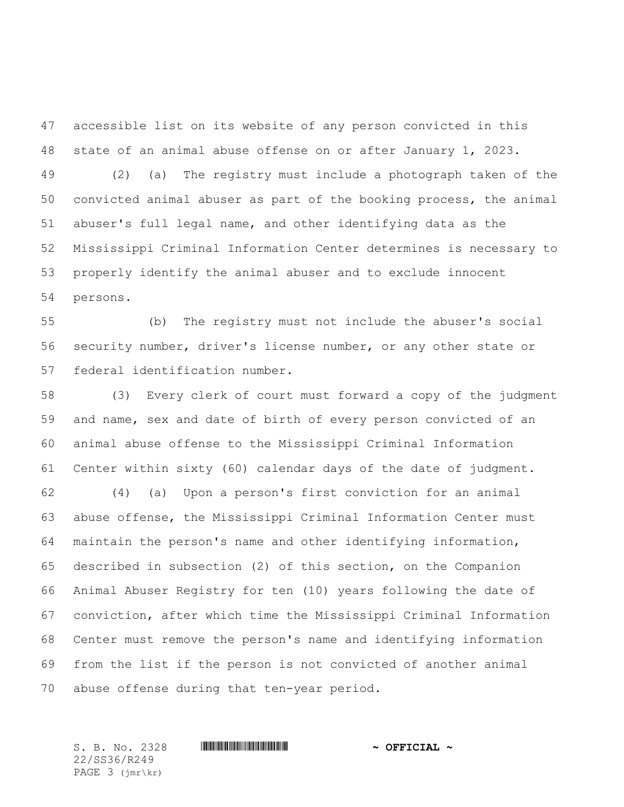accessible list on its website of any person convicted in this state of an animal abuse offense on or after January 1, 2023. (2) (a) The registry must include a photograph taken of the convicted animal abuser as part of the booking process, the animal abuser's full legal name, and other identifying data as the Mississippi Criminal Information Center determines is necessary to properly identify the animal abuser and to exclude innocent persons.

 (b) The registry must not include the abuser's social security number, driver's license number, or any other state or federal identification number.

 (3) Every clerk of court must forward a copy of the judgment and name, sex and date of birth of every person convicted of an animal abuse offense to the Mississippi Criminal Information Center within sixty (60) calendar days of the date of judgment.

 (4) (a) Upon a person's first conviction for an animal abuse offense, the Mississippi Criminal Information Center must maintain the person's name and other identifying information, described in subsection (2) of this section, on the Companion Animal Abuser Registry for ten (10) years following the date of conviction, after which time the Mississippi Criminal Information Center must remove the person's name and identifying information from the list if the person is not convicted of another animal abuse offense during that ten-year period.

22/SS36/R249 PAGE 3 (jmr\kr)

S. B. No. 2328 \*SS36/R249\* **~ OFFICIAL ~**